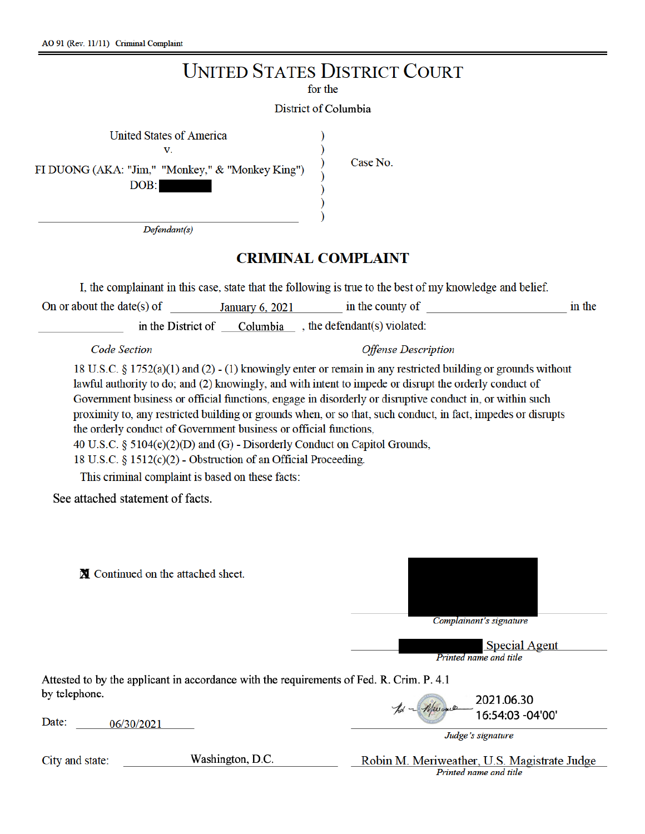| AO 91 (Rev. 11/11) Criminal Complaint                                                                                                                                                                                                                                                                                                                                                                                                                                                                                                                                                                                                                                                                                         |                                                 |
|-------------------------------------------------------------------------------------------------------------------------------------------------------------------------------------------------------------------------------------------------------------------------------------------------------------------------------------------------------------------------------------------------------------------------------------------------------------------------------------------------------------------------------------------------------------------------------------------------------------------------------------------------------------------------------------------------------------------------------|-------------------------------------------------|
| <b>UNITED STATES DISTRICT COURT</b>                                                                                                                                                                                                                                                                                                                                                                                                                                                                                                                                                                                                                                                                                           |                                                 |
| for the                                                                                                                                                                                                                                                                                                                                                                                                                                                                                                                                                                                                                                                                                                                       |                                                 |
| District of Columbia                                                                                                                                                                                                                                                                                                                                                                                                                                                                                                                                                                                                                                                                                                          |                                                 |
| <b>United States of America</b><br>V.                                                                                                                                                                                                                                                                                                                                                                                                                                                                                                                                                                                                                                                                                         |                                                 |
| FI DUONG (AKA: "Jim," "Monkey," & "Monkey King")<br>DOB:                                                                                                                                                                                                                                                                                                                                                                                                                                                                                                                                                                                                                                                                      | Case No.                                        |
| Defendant(s)                                                                                                                                                                                                                                                                                                                                                                                                                                                                                                                                                                                                                                                                                                                  |                                                 |
| <b>CRIMINAL COMPLAINT</b>                                                                                                                                                                                                                                                                                                                                                                                                                                                                                                                                                                                                                                                                                                     |                                                 |
| I, the complainant in this case, state that the following is true to the best of my knowledge and belief.                                                                                                                                                                                                                                                                                                                                                                                                                                                                                                                                                                                                                     |                                                 |
| On or about the date(s) of                                                                                                                                                                                                                                                                                                                                                                                                                                                                                                                                                                                                                                                                                                    | January 6, 2021 in the county of<br>in the      |
| in the District of $\_\_$ Columbia $\_\_$ , the defendant(s) violated:                                                                                                                                                                                                                                                                                                                                                                                                                                                                                                                                                                                                                                                        |                                                 |
| <b>Code Section</b>                                                                                                                                                                                                                                                                                                                                                                                                                                                                                                                                                                                                                                                                                                           | <b>Offense Description</b>                      |
| 18 U.S.C. § 1752(a)(1) and (2) - (1) knowingly enter or remain in any restricted building or grounds without<br>lawful authority to do; and (2) knowingly, and with intent to impede or disrupt the orderly conduct of<br>Government business or official functions, engage in disorderly or disruptive conduct in, or within such<br>proximity to, any restricted building or grounds when, or so that, such conduct, in fact, impedes or disrupts<br>the orderly conduct of Government business or official functions,<br>40 U.S.C. § 5104(e)(2)(D) and (G) - Disorderly Conduct on Capitol Grounds,<br>18 U.S.C. § 1512(c)(2) - Obstruction of an Official Proceeding.<br>This criminal complaint is based on these facts: |                                                 |
| See attached statement of facts.                                                                                                                                                                                                                                                                                                                                                                                                                                                                                                                                                                                                                                                                                              |                                                 |
| ■ Continued on the attached sheet.                                                                                                                                                                                                                                                                                                                                                                                                                                                                                                                                                                                                                                                                                            | Complainant's signature<br><b>Special Agent</b> |
|                                                                                                                                                                                                                                                                                                                                                                                                                                                                                                                                                                                                                                                                                                                               | Printed name and title                          |
| Attested to by the applicant in accordance with the requirements of Fed. R. Crim. P. 4.1<br>by telephone.                                                                                                                                                                                                                                                                                                                                                                                                                                                                                                                                                                                                                     |                                                 |
| Date:<br>06/30/2021                                                                                                                                                                                                                                                                                                                                                                                                                                                                                                                                                                                                                                                                                                           | 2021.06.30<br>16:54:03 -04'00'                  |
|                                                                                                                                                                                                                                                                                                                                                                                                                                                                                                                                                                                                                                                                                                                               | Judge's signature                               |

Washington, D.C.

City and state:

Robin M. Meriweather, U.S. Magistrate Judge<br>Printed name and title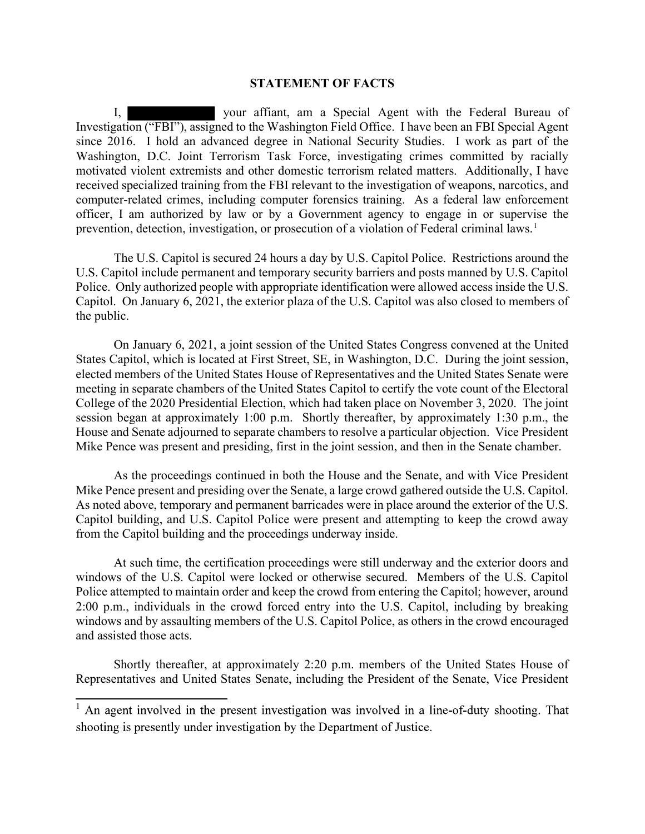## STATEMENT OF FACTS

I, your affiant, am a Special Agent with the Federal Bureau of Investigation ("FBI"), assigned to the Washington Field Office. I have been an FBI Special Agent since 2016. I hold an advanced degree in National Security Studies. I work as part of the Washington, D.C. Joint Terrorism Task Force, investigating crimes committed by racially motivated violent extremists and other domestic terrorism related matters. Additionally, I have received specialized training from the FBI relevant to the investigation of weapons, narcotics, and computer-related crimes, including computer forensics training. As a federal law enforcement officer, I am authorized by law or by a Government agency to engage in or supervise the prevention, detection, investigation, or prosecution of a violation of Federal criminal laws.<sup>1</sup>

The U.S. Capitol is secured 24 hours a day by U.S. Capitol Police. Restrictions around the U.S. Capitol include permanent and temporary security barriers and posts manned by U.S. Capitol Police. Only authorized people with appropriate identification were allowed access inside the U.S. Capitol. On January 6, 2021, the exterior plaza of the U.S. Capitol was also closed to members of the public.

On January 6, 2021, a joint session of the United States Congress convened at the United States Capitol, which is located at First Street, SE, in Washington, D.C. During the joint session, elected members of the United States House of Representatives and the United States Senate were meeting in separate chambers of the United States Capitol to certify the vote count of the Electoral College of the 2020 Presidential Election, which had taken place on November 3, 2020. The joint session began at approximately 1:00 p.m. Shortly thereafter, by approximately 1:30 p.m., the House and Senate adjourned to separate chambers to resolve a particular objection. Vice President Mike Pence was present and presiding, first in the joint session, and then in the Senate chamber.

As the proceedings continued in both the House and the Senate, and with Vice President Mike Pence present and presiding over the Senate, a large crowd gathered outside the U.S. Capitol. As noted above, temporary and permanent barricades were in place around the exterior of the U.S. Capitol building, and U.S. Capitol Police were present and attempting to keep the crowd away from the Capitol building and the proceedings underway inside.

At such time, the certification proceedings were still underway and the exterior doors and windows of the U.S. Capitol were locked or otherwise secured. Members of the U.S. Capitol Police attempted to maintain order and keep the crowd from entering the Capitol; however, around 2:00 p.m., individuals in the crowd forced entry into the U.S. Capitol, including by breaking windows and by assaulting members of the U.S. Capitol Police, as others in the crowd encouraged and assisted those acts.

Shortly thereafter, at approximately 2:20 p.m. members of the United States House of Representatives and United States Senate, including the President of the Senate, Vice President

 $<sup>1</sup>$  An agent involved in the present investigation was involved in a line-of-duty shooting. That</sup> shooting is presently under investigation by the Department of Justice.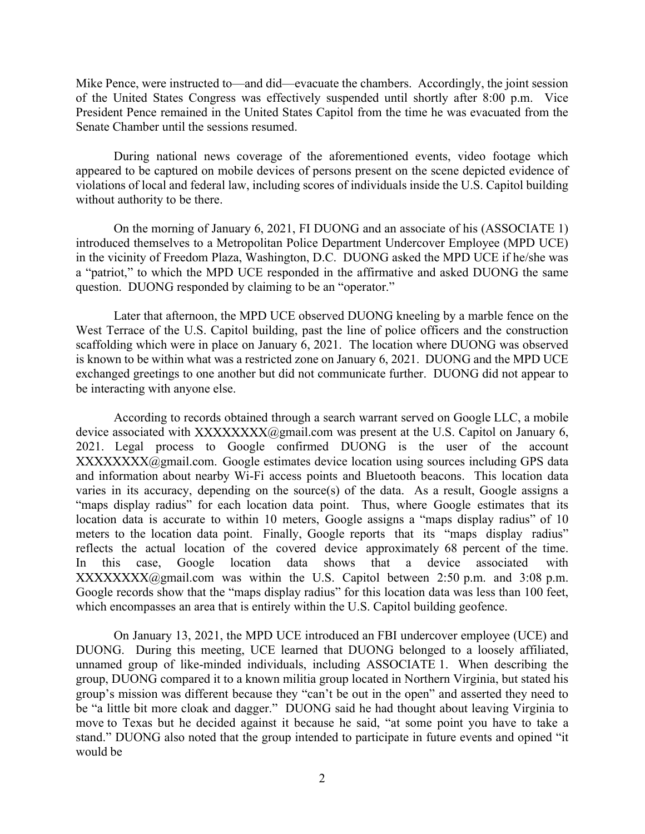Mike Pence, were instructed to—and did—evacuate the chambers. Accordingly, the joint session of the United States Congress was effectively suspended until shortly after 8:00 p.m. Vice President Pence remained in the United States Capitol from the time he was evacuated from the Senate Chamber until the sessions resumed.

During national news coverage of the aforementioned events, video footage which appeared to be captured on mobile devices of persons present on the scene depicted evidence of violations of local and federal law, including scores of individuals inside the U.S. Capitol building without authority to be there.

On the morning of January 6, 2021, FI DUONG and an associate of his (ASSOCIATE 1) introduced themselves to a Metropolitan Police Department Undercover Employee (MPD UCE) in the vicinity of Freedom Plaza, Washington, D.C. DUONG asked the MPD UCE if he/she was a "patriot," to which the MPD UCE responded in the affirmative and asked DUONG the same question. DUONG responded by claiming to be an "operator."

Later that afternoon, the MPD UCE observed DUONG kneeling by a marble fence on the West Terrace of the U.S. Capitol building, past the line of police officers and the construction scaffolding which were in place on January 6, 2021. The location where DUONG was observed is known to be within what was a restricted zone on January 6, 2021. DUONG and the MPD UCE exchanged greetings to one another but did not communicate further. DUONG did not appear to be interacting with anyone else.

According to records obtained through a search warrant served on Google LLC, a mobile device associated with  $XXXXXX(\omega)$ gmail.com was present at the U.S. Capitol on January 6, 2021. Legal process to Google confirmed DUONG is the user of the account XXXXXXX(@gmail.com. Google estimates device location using sources including GPS data and information about nearby Wi-Fi access points and Bluetooth beacons. This location data varies in its accuracy, depending on the source(s) of the data. As a result, Google assigns a "maps display radius" for each location data point. Thus, where Google estimates that its location data is accurate to within 10 meters, Google assigns a "maps display radius" of 10 meters to the location data point. Finally, Google reports that its "maps display radius" reflects the actual location of the covered device approximately 68 percent of the time. In this case, Google location data shows that a device associated with  $XXXXXX(\text{dgmail.com}$  was within the U.S. Capitol between 2:50 p.m. and 3:08 p.m. Google records show that the "maps display radius" for this location data was less than 100 feet, which encompasses an area that is entirely within the U.S. Capitol building geofence.

On January 13, 2021, the MPD UCE introduced an FBI undercover employee (UCE) and DUONG. During this meeting, UCE learned that DUONG belonged to a loosely affiliated, unnamed group of like-minded individuals, including ASSOCIATE 1. When describing the group, DUONG compared it to a known militia group located in Northern Virginia, but stated his group's mission was different because they "can't be out in the open" and asserted they need to be "a little bit more cloak and dagger." DUONG said he had thought about leaving Virginia to move to Texas but he decided against it because he said, "at some point you have to take a stand." DUONG also noted that the group intended to participate in future events and opined "it would be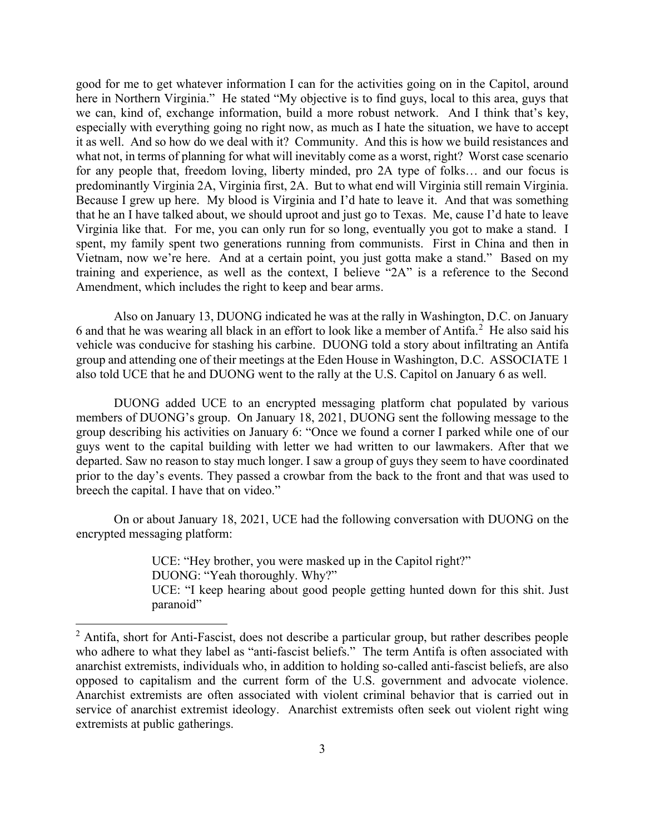good for me to get whatever information I can for the activities going on in the Capitol, around here in Northern Virginia." He stated "My objective is to find guys, local to this area, guys that we can, kind of, exchange information, build a more robust network. And I think that's key, especially with everything going no right now, as much as I hate the situation, we have to accept it as well. And so how do we deal with it? Community. And this is how we build resistances and what not, in terms of planning for what will inevitably come as a worst, right? Worst case scenario for any people that, freedom loving, liberty minded, pro 2A type of folks… and our focus is predominantly Virginia 2A, Virginia first, 2A. But to what end will Virginia still remain Virginia. Because I grew up here. My blood is Virginia and I'd hate to leave it. And that was something that he an I have talked about, we should uproot and just go to Texas. Me, cause I'd hate to leave Virginia like that. For me, you can only run for so long, eventually you got to make a stand. I spent, my family spent two generations running from communists. First in China and then in Vietnam, now we're here. And at a certain point, you just gotta make a stand." Based on my training and experience, as well as the context, I believe "2A" is a reference to the Second Amendment, which includes the right to keep and bear arms.

Also on January 13, DUONG indicated he was at the rally in Washington, D.C. on January 6 and that he was wearing all black in an effort to look like a member of Antifa.<sup>2</sup> He also said his vehicle was conducive for stashing his carbine. DUONG told a story about infiltrating an Antifa group and attending one of their meetings at the Eden House in Washington, D.C. ASSOCIATE 1 also told UCE that he and DUONG went to the rally at the U.S. Capitol on January 6 as well.

DUONG added UCE to an encrypted messaging platform chat populated by various members of DUONG's group. On January 18, 2021, DUONG sent the following message to the group describing his activities on January 6: "Once we found a corner I parked while one of our guys went to the capital building with letter we had written to our lawmakers. After that we departed. Saw no reason to stay much longer. I saw a group of guys they seem to have coordinated prior to the day's events. They passed a crowbar from the back to the front and that was used to breech the capital. I have that on video." or about the discussion of the method of the following out an experiment, where the stand." Based on my<br>and experience, as well as the context, I believe "2A" is a reference to the Second<br>near the which includes the right

encrypted messaging platform:

UCE: "Hey brother, you were masked up in the Capitol right?" DUONG: "Yeah thoroughly. Why?" UCE: "I keep hearing about good people getting hunted down for this shit. Just paranoid"

<sup>&</sup>lt;sup>2</sup> Antifa, short for Anti-Fascist, does not describe a particular group, but rather describes people who adhere to what they label as "anti-fascist beliefs." The term Antifa is often associated with anarchist extremists, individuals who, in addition to holding so-called anti-fascist beliefs, are also opposed to capitalism and the current form of the U.S. government and advocate violence. Anarchist extremists are often associated with violent criminal behavior that is carried out in service of anarchist extremist ideology. Anarchist extremists often seek out violent right wing extremists at public gatherings.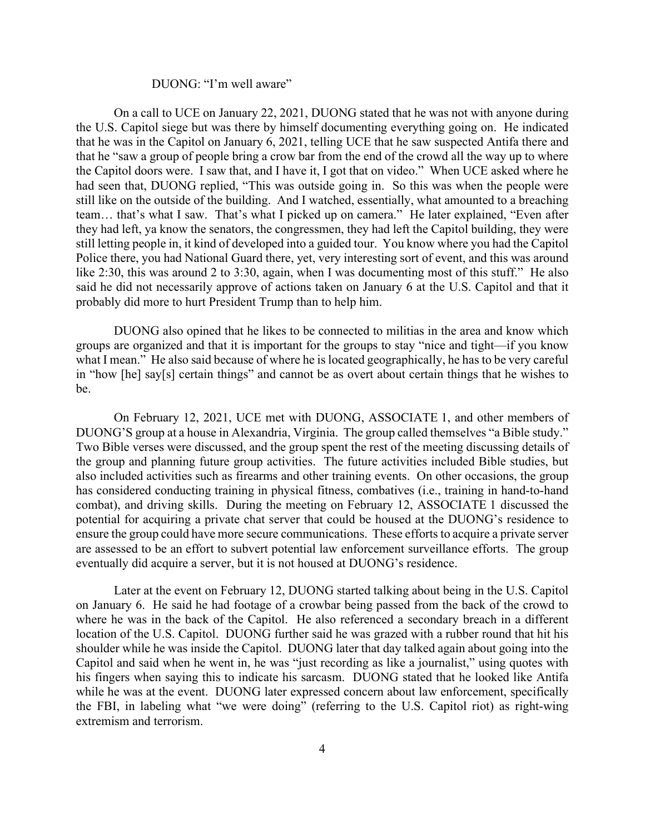#### DUONG: "I'm well aware"

On a call to UCE on January 22, 2021, DUONG stated that he was not with anyone during the U.S. Capitol siege but was there by himself documenting everything going on. He indicated that he was in the Capitol on January 6, 2021, telling UCE that he saw suspected Antifa there and that he "saw a group of people bring a crow bar from the end of the crowd all the way up to where DUONG: "I'm well aware"<br>
On a call to UCE on January 22, 2021, DUONG stated that he was not with anyone during<br>
the U.S. Capitol siege but was there by himself documenting everything going on. He indicated<br>
that he was in had seen that, DUONG replied, "This was outside going in. So this was when the people were still like on the outside of the building. And I watched, essentially, what amounted to a breaching team… that's what I saw. That's what I picked up on camera." He later explained, "Even after they had left, ya know the senators, the congressmen, they had left the Capitol building, they were still letting people in, it kind of developed into a guided tour. You know where you had the Capitol Police there, you had National Guard there, yet, very interesting sort of event, and this was around like 2:30, this was around 2 to 3:30, again, when I was documenting most of this stuff." He also said he did not necessarily approve of actions taken on January 6 at the U.S. Capitol and that it probably did more to hurt President Trump than to help him. Now an experience is a such that and have it, I get that on violeo." When UCE asked where the induction doors were. I saw that, and I have it, I get that on video." When UCE asked where he in that, DUONG replied, "This wa

DUONG also opined that he likes to be connected to militias in the area and know which groups are organized and that it is important for the groups to stay "nice and tight—if you know what I mean." He also said because of where he is located geographically, he has to be very careful in "how [he] say[s] certain things" and cannot be as overt about certain things that he wishes to be.

DUONG'S group at a house in Alexandria, Virginia. The group called themselves "a Bible study." Two Bible verses were discussed, and the group spent the rest of the meeting discussing details of the group and planning future group activities. The future activities included Bible studies, but also included activities such as firearms and other training events. On other occasions, the group has considered conducting training in physical fitness, combatives (i.e., training in hand-to-hand combat), and driving skills. During the meeting on February 12, ASSOCIATE 1 discussed the potential for acquiring a private chat server that could be housed at the DUONG's residence to ensure the group could have more secure communications. These efforts to acquire a private server are assessed to be an effort to subvert potential law enforcement surveillance efforts. The group eventually did acquire a server, but it is not housed at DUONG's residence.

Later at the event on February 12, DUONG started talking about being in the U.S. Capitol on January 6. He said he had footage of a crowbar being passed from the back of the crowd to where he was in the back of the Capitol. He also referenced a secondary breach in a different location of the U.S. Capitol. DUONG further said he was grazed with a rubber round that hit his shoulder while he was inside the Capitol. DUONG later that day talked again about going into the Capitol and said when he went in, he was "just recording as like a journalist," using quotes with his fingers when saying this to indicate his sarcasm. DUONG stated that he looked like Antifa while he was at the event. DUONG later expressed concern about law enforcement, specifically DOONTO 3 groups and the Finct and the group space in Fig. groups and the group space in a maximum is the group and planning fetals of the group and planning future group as rince a propart the rest of the meeting discussin extremism and terrorism.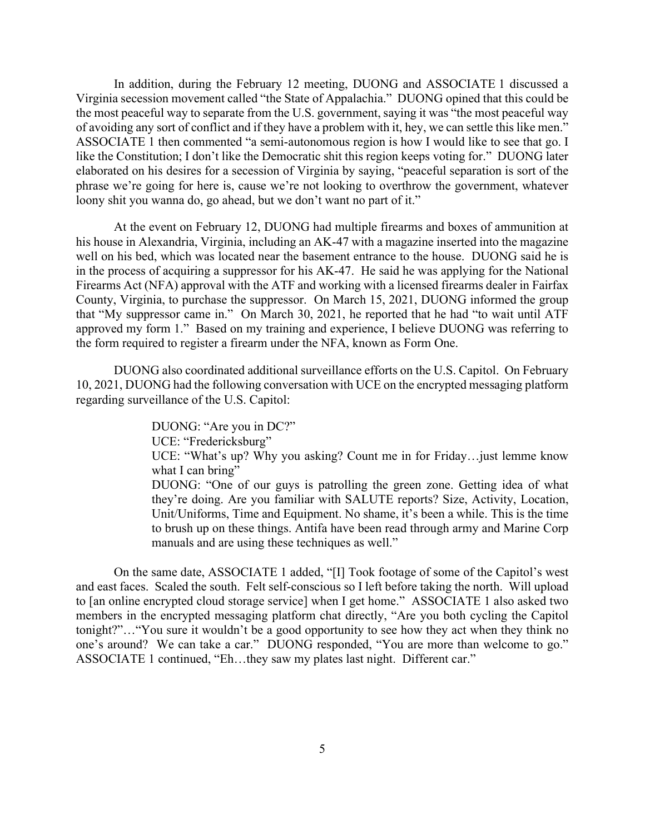In addition, during the February 12 meeting, DUONG and ASSOCIATE 1 discussed a Virginia secession movement called "the State of Appalachia." DUONG opined that this could be the most peaceful way to separate from the U.S. government, saying it was "the most peaceful way of avoiding any sort of conflict and if they have a problem with it, hey, we can settle this like men." In addition, during the February 12 meeting, DUONG and ASSOCIATE 1 discussed a Virginia secession movement called "the State of Appalachia." DUONG opined that this could be the most peaceful way to separate from the U.S. g like the Constitution; I don't like the Democratic shit this region keeps voting for." DUONG later elaborated on his desires for a secession of Virginia by saying, "peaceful separation is sort of the phrase we're going for here is, cause we're not looking to overthrow the government, whatever loony shit you wanna do, go ahead, but we don't want no part of it."

At the event on February 12, DUONG had multiple firearms and boxes of ammunition at his house in Alexandria, Virginia, including an AK-47 with a magazine inserted into the magazine well on his bed, which was located near the basement entrance to the house. DUONG said he is in the process of acquiring a suppressor for his AK-47. He said he was applying for the National Firearms Act (NFA) approval with the ATF and working with a licensed firearms dealer in Fairfax County, Virginia, to purchase the suppressor. On March 15, 2021, DUONG informed the group that "My suppressor came in." On March 30, 2021, he reported that he had "to wait until ATF approved my form 1." Based on my training and experience, I believe DUONG was referring to the form required to register a firearm under the NFA, known as Form One.

DUONG also coordinated additional surveillance efforts on the U.S. Capitol. On February 10, 2021, DUONG had the following conversation with UCE on the encrypted messaging platform regarding surveillance of the U.S. Capitol:

> DUONG: "Are you in DC?" UCE: "Fredericksburg" UCE: "What's up? Why you asking? Count me in for Friday…just lemme know what I can bring" DUONG: "One of our guys is patrolling the green zone. Getting idea of what they're doing. Are you familiar with SALUTE reports? Size, Activity, Location, Unit/Uniforms, Time and Equipment. No shame, it's been a while. This is the time to brush up on these things. Antifa have been read through army and Marine Corp manuals and are using these techniques as well."

On the same date, ASSOCIATE 1 added, "[I] Took footage of some of the Capitol's west and east faces. Scaled the south. Felt self-conscious so I left before taking the north. Will upload to [an online encrypted cloud storage service] when I get home." ASSOCIATE 1 also asked two members in the encrypted messaging platform chat directly, "Are you both cycling the Capitol tonight?"…"You sure it wouldn't be a good opportunity to see how they act when they think no one's around? We can take a car." DUONG responded, "You are more than welcome to go." ASSOCIATE 1 continued, "Eh…they saw my plates last night. Different car."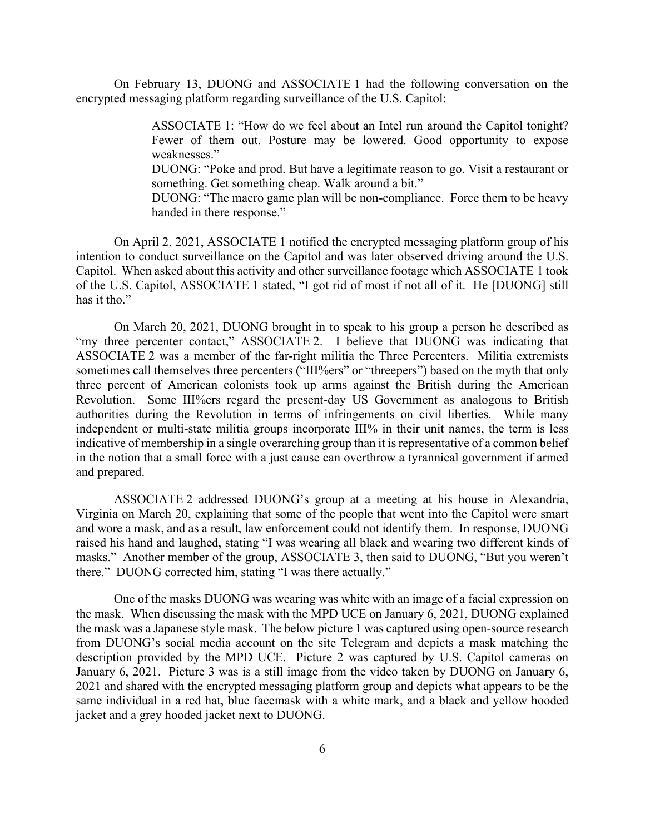On February 13, DUONG and ASSOCIATE 1 had the following conversation on the encrypted messaging platform regarding surveillance of the U.S. Capitol:

> ASSOCIATE 1: "How do we feel about an Intel run around the Capitol tonight? Fewer of them out. Posture may be lowered. Good opportunity to expose weaknesses."

> DUONG: "Poke and prod. But have a legitimate reason to go. Visit a restaurant or something. Get something cheap. Walk around a bit."

> DUONG: "The macro game plan will be non-compliance. Force them to be heavy handed in there response."

On April 2, 2021, ASSOCIATE 1 notified the encrypted messaging platform group of his intention to conduct surveillance on the Capitol and was later observed driving around the U.S. Capitol. When asked about this activity and other surveillance footage which ASSOCIATE 1 took of the U.S. Capitol, ASSOCIATE 1 stated, "I got rid of most if not all of it. He [DUONG] still has it tho."

On March 20, 2021, DUONG brought in to speak to his group a person he described as "my three percenter contact," ASSOCIATE 2. I believe that DUONG was indicating that ASSOCIATE 2 was a member of the far-right militia the Three Percenters. Militia extremists sometimes call themselves three percenters ("III%ers" or "threepers") based on the myth that only three percent of American colonists took up arms against the British during the American Revolution. Some III%ers regard the present-day US Government as analogous to British authorities during the Revolution in terms of infringements on civil liberties. While many independent or multi-state militia groups incorporate III% in their unit names, the term is less indicative of membership in a single overarching group than it is representative of a common belief in the notion that a small force with a just cause can overthrow a tyrannical government if armed and prepared.

ASSOCIATE 2 addressed DUONG's group at a meeting at his house in Alexandria, Virginia on March 20, explaining that some of the people that went into the Capitol were smart and wore a mask, and as a result, law enforcement could not identify them. In response, DUONG raised his hand and laughed, stating "I was wearing all black and wearing two different kinds of masks." Another member of the group, ASSOCIATE 3, then said to DUONG, "But you weren't there." DUONG corrected him, stating "I was there actually."

One of the masks DUONG was wearing was white with an image of a facial expression on the mask. When discussing the mask with the MPD UCE on January 6, 2021, DUONG explained the mask was a Japanese style mask. The below picture 1 was captured using open-source research from DUONG's social media account on the site Telegram and depicts a mask matching the description provided by the MPD UCE. Picture 2 was captured by U.S. Capitol cameras on January 6, 2021. Picture 3 was is a still image from the video taken by DUONG on January 6, 2021 and shared with the encrypted messaging platform group and depicts what appears to be the same individual in a red hat, blue facemask with a white mark, and a black and yellow hooded jacket and a grey hooded jacket next to DUONG.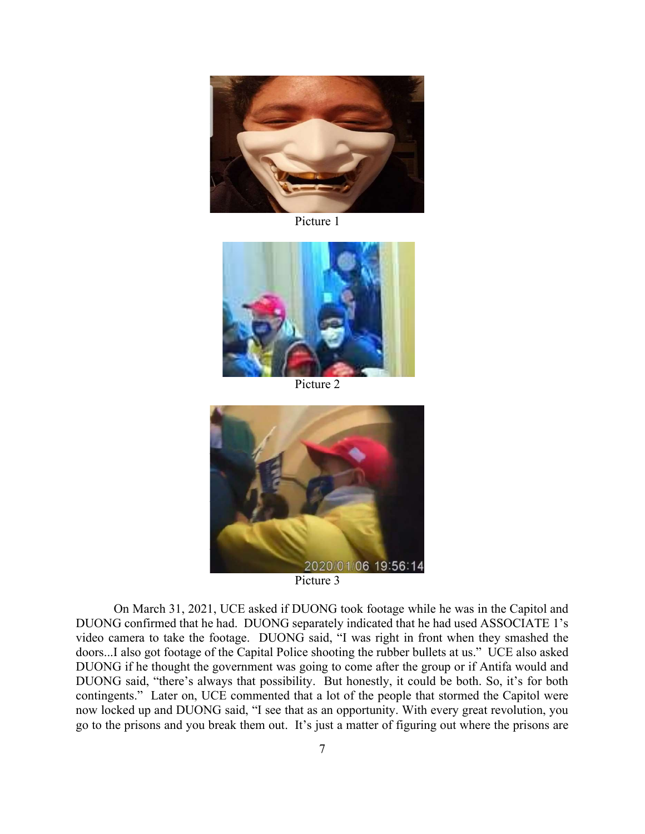

Picture 1



Picture 2



Picture 3

On March 31, 2021, UCE asked if DUONG took footage while he was in the Capitol and DUONG confirmed that he had. DUONG separately indicated that he had used ASSOCIATE 1's video camera to take the footage. DUONG said, "I was right in front when they smashed the doors...I also got footage of the Capital Police shooting the rubber bullets at us." UCE also asked DUONG if he thought the government was going to come after the group or if Antifa would and DUONG said, "there's always that possibility. But honestly, it could be both. So, it's for both 2020/01/06 19:56:14<br>
2020/01/06 19:56:14<br>
2020/01/06 took footage while he was in the Capitol and<br>
DUONG confirmed that he had. DUONG separately indicated that he had used ASSOCLATE 1's<br>
video camera to take the footage. now locked up and DUONG said, "I see that as an opportunity. With every great revolution, you go to the prisons and you break them out. It's just a matter of figuring out where the prisons are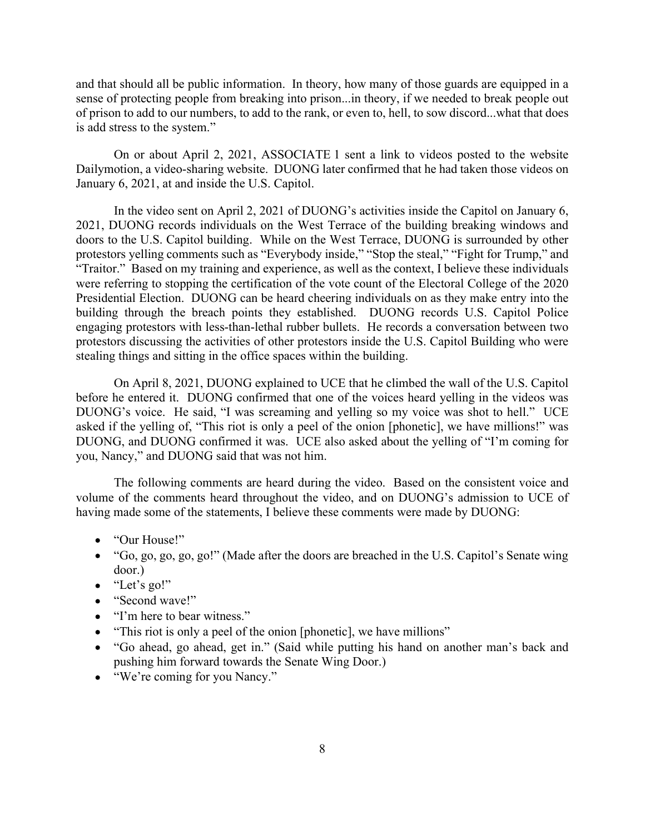and that should all be public information. In theory, how many of those guards are equipped in a sense of protecting people from breaking into prison...in theory, if we needed to break people out of prison to add to our numbers, to add to the rank, or even to, hell, to sow discord...what that does is add stress to the system."

On or about April 2, 2021, ASSOCIATE 1 sent a link to videos posted to the website Dailymotion, a video-sharing website. DUONG later confirmed that he had taken those videos on January 6, 2021, at and inside the U.S. Capitol.

In the video sent on April 2, 2021 of DUONG's activities inside the Capitol on January 6, 2021, DUONG records individuals on the West Terrace of the building breaking windows and doors to the U.S. Capitol building. While on the West Terrace, DUONG is surrounded by other protestors yelling comments such as "Everybody inside," "Stop the steal," "Fight for Trump," and "Traitor." Based on my training and experience, as well as the context, I believe these individuals were referring to stopping the certification of the vote count of the Electoral College of the 2020 Presidential Election. DUONG can be heard cheering individuals on as they make entry into the building through the breach points they established. DUONG records U.S. Capitol Police engaging protestors with less-than-lethal rubber bullets. He records a conversation between two protestors discussing the activities of other protestors inside the U.S. Capitol Building who were stealing things and sitting in the office spaces within the building. On or about Appli 2, 2021, 2021, 2021 and the yelling is only to perform the yellows by the studients of the yellow when the phonetic studients of the U.S. Capitol.<br>In the video sent on April 2, 2021 of DUONG's activities

On April 8, 2021, DUONG explained to UCE that he climbed the wall of the U.S. Capitol before he entered it. DUONG confirmed that one of the voices heard yelling in the videos was DUONG's voice. He said, "I was screaming and yelling so my voice was shot to hell." UCE DUONG, and DUONG confirmed it was. UCE also asked about the yelling of "I'm coming for you, Nancy," and DUONG said that was not him.

The following comments are heard during the video. Based on the consistent voice and volume of the comments heard throughout the video, and on DUONG's admission to UCE of having made some of the statements, I believe these comments were made by DUONG:

- "Our House!"
- "Go, go, go, go, go!" (Made after the doors are breached in the U.S. Capitol's Senate wing door.)
- "Let's go!"
- "Second wave!"
- "I'm here to bear witness."
- "This riot is only a peel of the onion [phonetic], we have millions"
- "Go ahead, go ahead, get in." (Said while putting his hand on another man's back and pushing him forward towards the Senate Wing Door.)
- "We're coming for you Nancy."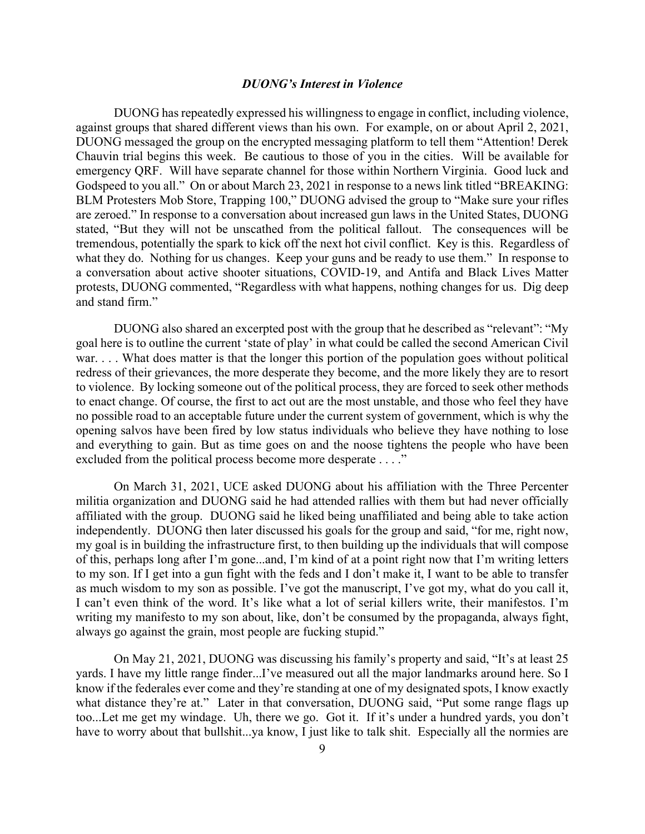### DUONG's Interest in Violence

DUONG has repeatedly expressed his willingness to engage in conflict, including violence, against groups that shared different views than his own. For example, on or about April 2, 2021, DUONG messaged the group on the encrypted messaging platform to tell them "Attention! Derek Chauvin trial begins this week. Be cautious to those of you in the cities. Will be available for emergency QRF. Will have separate channel for those within Northern Virginia. Good luck and Godspeed to you all." On or about March 23, 2021 in response to a news link titled "BREAKING: BLM Protesters Mob Store, Trapping 100," DUONG advised the group to "Make sure your rifles are zeroed." In response to a conversation about increased gun laws in the United States, DUONG stated, "But they will not be unscathed from the political fallout. The consequences will be tremendous, potentially the spark to kick off the next hot civil conflict. Key is this. Regardless of what they do. Nothing for us changes. Keep your guns and be ready to use them." In response to a conversation about active shooter situations, COVID-19, and Antifa and Black Lives Matter protests, DUONG commented, "Regardless with what happens, nothing changes for us. Dig deep and stand firm."

DUONG also shared an excerpted post with the group that he described as "relevant": "My goal here is to outline the current 'state of play' in what could be called the second American Civil war. . . . What does matter is that the longer this portion of the population goes without political redress of their grievances, the more desperate they become, and the more likely they are to resort to violence. By locking someone out of the political process, they are forced to seek other methods to enact change. Of course, the first to act out are the most unstable, and those who feel they have no possible road to an acceptable future under the current system of government, which is why the opening salvos have been fired by low status individuals who believe they have nothing to lose and everything to gain. But as time goes on and the noose tightens the people who have been excluded from the political process become more desperate . . . ."

On March 31, 2021, UCE asked DUONG about his affiliation with the Three Percenter militia organization and DUONG said he had attended rallies with them but had never officially affiliated with the group. DUONG said he liked being unaffiliated and being able to take action independently. DUONG then later discussed his goals for the group and said, "for me, right now, my goal is in building the infrastructure first, to then building up the individuals that will compose of this, perhaps long after I'm gone...and, I'm kind of at a point right now that I'm writing letters to my son. If I get into a gun fight with the feds and I don't make it, I want to be able to transfer as much wisdom to my son as possible. I've got the manuscript, I've got my, what do you call it, I can't even think of the word. It's like what a lot of serial killers write, their manifestos. I'm writing my manifesto to my son about, like, don't be consumed by the propaganda, always fight, always go against the grain, most people are fucking stupid."

On May 21, 2021, DUONG was discussing his family's property and said, "It's at least 25 yards. I have my little range finder...I've measured out all the major landmarks around here. So I know if the federales ever come and they're standing at one of my designated spots, I know exactly what distance they're at." Later in that conversation, DUONG said, "Put some range flags up too...Let me get my windage. Uh, there we go. Got it. If it's under a hundred yards, you don't have to worry about that bullshit...ya know, I just like to talk shit. Especially all the normies are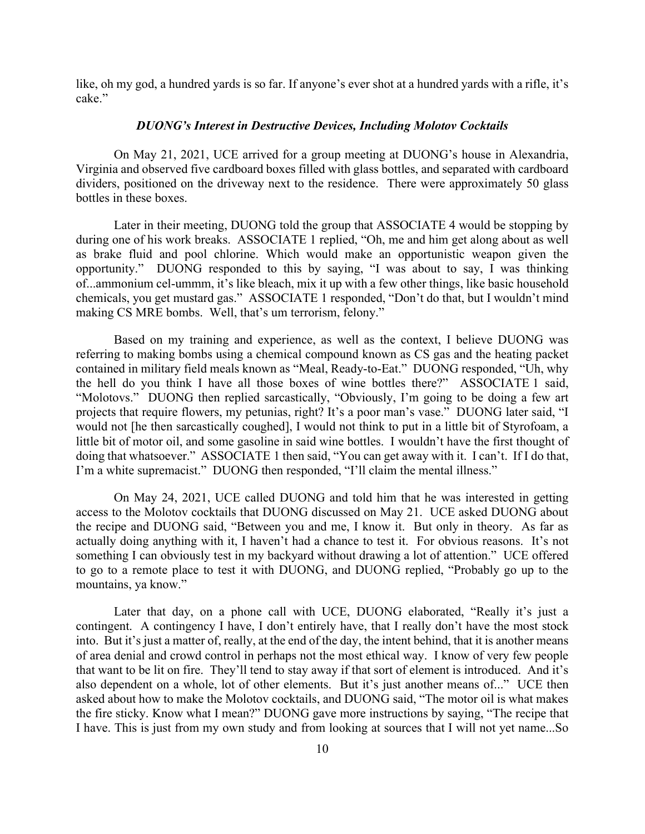like, oh my god, a hundred yards is so far. If anyone's ever shot at a hundred yards with a rifle, it's cake."

# DUONG's Interest in Destructive Devices, Including Molotov Cocktails

On May 21, 2021, UCE arrived for a group meeting at DUONG's house in Alexandria, Virginia and observed five cardboard boxes filled with glass bottles, and separated with cardboard dividers, positioned on the driveway next to the residence. There were approximately 50 glass bottles in these boxes.

Later in their meeting, DUONG told the group that ASSOCIATE 4 would be stopping by during one of his work breaks. ASSOCIATE 1 replied, "Oh, me and him get along about as well as brake fluid and pool chlorine. Which would make an opportunistic weapon given the opportunity." DUONG responded to this by saying, "I was about to say, I was thinking of...ammonium cel-ummm, it's like bleach, mix it up with a few other things, like basic household chemicals, you get mustard gas." ASSOCIATE 1 responded, "Don't do that, but I wouldn't mind making CS MRE bombs. Well, that's um terrorism, felony."

Based on my training and experience, as well as the context, I believe DUONG was referring to making bombs using a chemical compound known as CS gas and the heating packet contained in military field meals known as "Meal, Ready-to-Eat." DUONG responded, "Uh, why the hell do you think I have all those boxes of wine bottles there?" ASSOCIATE 1 said, "Molotovs." DUONG then replied sarcastically, "Obviously, I'm going to be doing a few art projects that require flowers, my petunias, right? It's a poor man's vase." DUONG later said, "I would not [he then sarcastically coughed], I would not think to put in a little bit of Styrofoam, a little bit of motor oil, and some gasoline in said wine bottles. I wouldn't have the first thought of doing that whatsoever." ASSOCIATE 1 then said, "You can get away with it. I can't. If I do that, I'm a white supremacist." DUONG then responded, "I'll claim the mental illness." of...ammonum cei-umman, it sinke beach, mux it up wind a leve other tungs, ince basis ionisals, you get mustard gas." ASSOCIATE 1 responded, "Don't do that, but I wouldn't mind making CS MRE bombs. Well, that's un terroris

On May 24, 2021, UCE called DUONG and told him that he was interested in getting access to the Molotov cocktails that DUONG discussed on May 21. UCE asked DUONG about the recipe and DUONG said, "Between you and me, I know it. But only in theory. As far as actually doing anything with it, I haven't had a chance to test it. For obvious reasons. It's not something I can obviously test in my backyard without drawing a lot of attention." UCE offered to go to a remote place to test it with DUONG, and DUONG replied, "Probably go up to the mountains, ya know."

Later that day, on a phone call with UCE, DUONG elaborated, "Really it's just a contingent. A contingency I have, I don't entirely have, that I really don't have the most stock into. But it's just a matter of, really, at the end of the day, the intent behind, that it is another means of area denial and crowd control in perhaps not the most ethical way. I know of very few people that want to be lit on fire. They'll tend to stay away if that sort of element is introduced. And it's also dependent on a whole, lot of other elements. But it's just another means of..." UCE then asked about how to make the Molotov cocktails, and DUONG said, "The motor oil is what makes the fire sticky. Know what I mean?" DUONG gave more instructions by saying, "The recipe that I have. This is just from my own study and from looking at sources that I will not yet name...So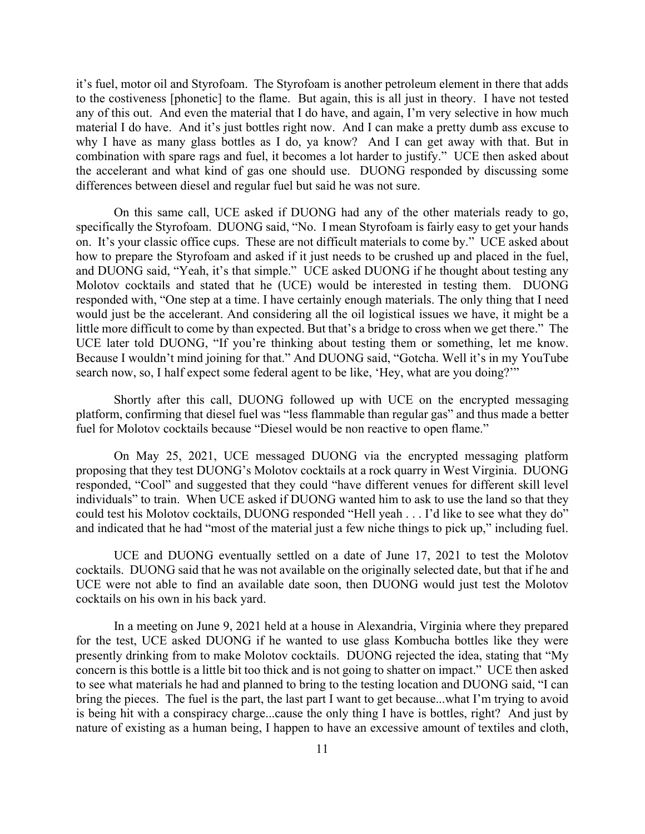it's fuel, motor oil and Styrofoam. The Styrofoam is another petroleum element in there that adds to the costiveness [phonetic] to the flame. But again, this is all just in theory. I have not tested any of this out. And even the material that I do have, and again, I'm very selective in how much material I do have. And it's just bottles right now. And I can make a pretty dumb ass excuse to why I have as many glass bottles as I do, ya know? And I can get away with that. But in it's fuel, motor oil and Styrofoam. The Styrofoam is another petroleum element in there that adds<br>to the costiveness [phonetic] to the flame. But again, this is all just in theory. I have not tested<br>any of this out. And ev the accelerant and what kind of gas one should use. DUONG responded by discussing some differences between diesel and regular fuel but said he was not sure. motor oil and Styrofoam. The Styrofoam is another petroleum element in there that adds<br>
ostiveness [phonetic] to the flame. But again, this is all just in theory. I have not tested<br>
his out. And even the material that I do it's fuel, motor oil and Styrofoam. The Styrofoam is another petroleum element in there that adds<br>to the costiveness [phonetic] to the flame. But again, this is all just in theory. I have not tested<br>amp of this out. And cu

specifically the Styrofoam. DUONG said, "No. I mean Styrofoam is fairly easy to get your hands how to prepare the Styrofoam and asked if it just needs to be crushed up and placed in the fuel, and DUONG said, "Yeah, it's that simple." UCE asked DUONG if he thought about testing any Molotov cocktails and stated that he (UCE) would be interested in testing them. DUONG responded with, "One step at a time. I have certainly enough materials. The only thing that I need would just be the accelerant. And considering all the oil logistical issues we have, it might be a little more difficult to come by than expected. But that's a bridge to cross when we get there." The UCE later told DUONG, "If you're thinking about testing them or something, let me know. Because I wouldn't mind joining for that." And DUONG said, "Gotcha. Well it's in my YouTube search now, so, I half expect some federal agent to be like, 'Hey, what are you doing?'"

Shortly after this call, DUONG followed up with UCE on the encrypted messaging platform, confirming that diesel fuel was "less flammable than regular gas" and thus made a better fuel for Molotov cocktails because "Diesel would be non reactive to open flame."

On May 25, 2021, UCE messaged DUONG via the encrypted messaging platform proposing that they test DUONG's Molotov cocktails at a rock quarry in West Virginia. DUONG responded, "Cool" and suggested that they could "have different venues for different skill level individuals" to train. When UCE asked if DUONG wanted him to ask to use the land so that they could test his Molotov cocktails, DUONG responded "Hell yeah . . . I'd like to see what they do" and indicated that he had "most of the material just a few niche things to pick up," including fuel.

UCE and DUONG eventually settled on a date of June 17, 2021 to test the Molotov cocktails. DUONG said that he was not available on the originally selected date, but that if he and UCE were not able to find an available date soon, then DUONG would just test the Molotov cocktails on his own in his back yard.

In a meeting on June 9, 2021 held at a house in Alexandria, Virginia where they prepared for the test, UCE asked DUONG if he wanted to use glass Kombucha bottles like they were presently drinking from to make Molotov cocktails. DUONG rejected the idea, stating that "My concern is this bottle is a little bit too thick and is not going to shatter on impact." UCE then asked platiom, continuum that descell their "less liamnable than regular gas" and thus made a better<br>fuel for Molotov cocktails because "Diesel would be non reactive to open flame."<br>On May 25, 2021, UCE messaged DUONG via the en the for Molotov cocktails because "Dresel would be non reactive to open flame."<br>
On May 25, 2021, UCE messaged DUONG via the enerypted messaging platform<br>
proposing that they test DUONG's Molotov cocktails at a rock quarry is being hit with a conspiracy charge...cause the only thing I have is bottles, right? And just by nature of existing as a human being, I happen to have an excessive amount of textiles and cloth,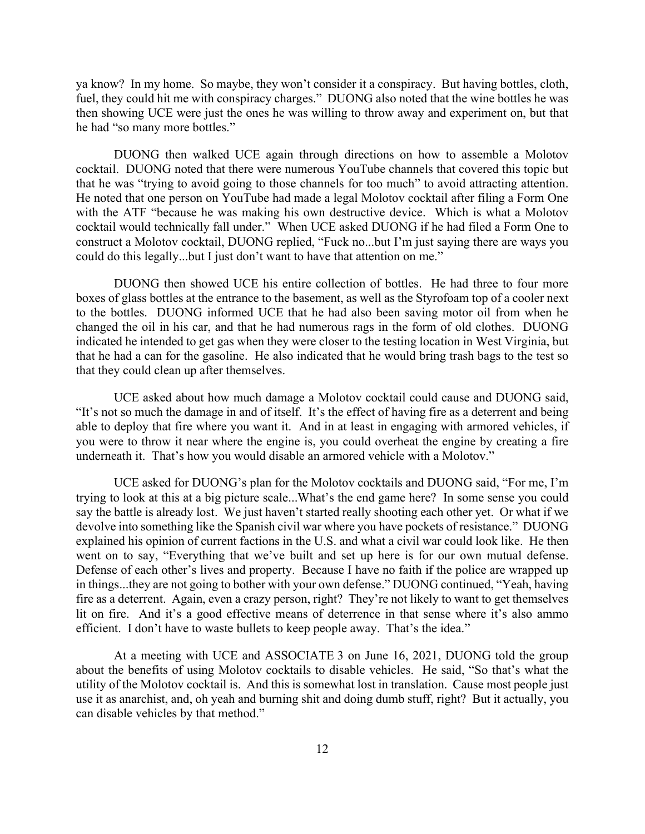ya know? In my home. So maybe, they won't consider it a conspiracy. But having bottles, cloth, fuel, they could hit me with conspiracy charges." DUONG also noted that the wine bottles he was then showing UCE were just the ones he was willing to throw away and experiment on, but that he had "so many more bottles."

DUONG then walked UCE again through directions on how to assemble a Molotov cocktail. DUONG noted that there were numerous YouTube channels that covered this topic but that he was "trying to avoid going to those channels for too much" to avoid attracting attention. He noted that one person on YouTube had made a legal Molotov cocktail after filing a Form One with the ATF "because he was making his own destructive device. Which is what a Molotov cocktail would technically fall under." When UCE asked DUONG if he had filed a Form One to construct a Molotov cocktail, DUONG replied, "Fuck no...but I'm just saying there are ways you could do this legally...but I just don't want to have that attention on me."

DUONG then showed UCE his entire collection of bottles. He had three to four more boxes of glass bottles at the entrance to the basement, as well as the Styrofoam top of a cooler next to the bottles. DUONG informed UCE that he had also been saving motor oil from when he changed the oil in his car, and that he had numerous rags in the form of old clothes. DUONG indicated he intended to get gas when they were closer to the testing location in West Virginia, but that he had a can for the gasoline. He also indicated that he would bring trash bags to the test so that they could clean up after themselves.

UCE asked about how much damage a Molotov cocktail could cause and DUONG said, "It's not so much the damage in and of itself. It's the effect of having fire as a deterrent and being able to deploy that fire where you want it. And in at least in engaging with armored vehicles, if you were to throw it near where the engine is, you could overheat the engine by creating a fire underneath it. That's how you would disable an armored vehicle with a Molotov."

UCE asked for DUONG's plan for the Molotov cocktails and DUONG said, "For me, I'm trying to look at this at a big picture scale...What's the end game here? In some sense you could say the battle is already lost. We just haven't started really shooting each other yet. Or what if we devolve into something like the Spanish civil war where you have pockets of resistance." DUONG explained his opinion of current factions in the U.S. and what a civil war could look like. He then went on to say, "Everything that we've built and set up here is for our own mutual defense. Defense of each other's lives and property. Because I have no faith if the police are wrapped up in things...they are not going to bother with your own defense." DUONG continued, "Yeah, having fire as a deterrent. Again, even a crazy person, right? They're not likely to want to get themselves lit on fire. And it's a good effective means of deterrence in that sense where it's also ammo efficient. I don't have to waste bullets to keep people away. That's the idea."

At a meeting with UCE and ASSOCIATE 3 on June 16, 2021, DUONG told the group about the benefits of using Molotov cocktails to disable vehicles. He said, "So that's what the utility of the Molotov cocktail is. And this is somewhat lost in translation. Cause most people just use it as anarchist, and, oh yeah and burning shit and doing dumb stuff, right? But it actually, you can disable vehicles by that method."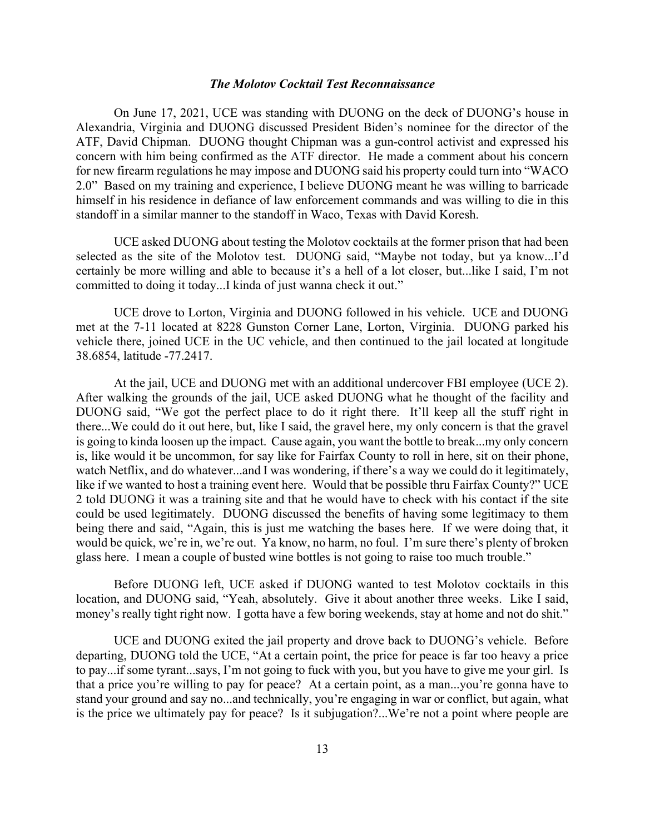The Molotov Cocktail Test Reconnaissance<br>UCE was standing with DUONG on the deck of DUONG's house in<br>DUONG discussed President Biden's nominee for the director of the<br>UONG thought Chipman was a gun-control activist and exp On June 17, 2021, UCE was standing with DUONG on the deck of DUONG's house in Alexandria, Virginia and DUONG discussed President Biden's nominee for the director of the ATF, David Chipman. DUONG thought Chipman was a gun-control activist and expressed his concern with him being confirmed as the ATF director. He made a comment about his concern for new firearm regulations he may impose and DUONG said his property could turn into "WACO 2.0" Based on my training and experience, I believe DUONG meant he was willing to barricade himself in his residence in defiance of law enforcement commands and was willing to die in this standoff in a similar manner to the standoff in Waco, Texas with David Koresh.

UCE asked DUONG about testing the Molotov cocktails at the former prison that had been selected as the site of the Molotov test. DUONG said, "Maybe not today, but ya know...I'd certainly be more willing and able to because it's a hell of a lot closer, but...like I said, I'm not committed to doing it today...I kinda of just wanna check it out."

UCE drove to Lorton, Virginia and DUONG followed in his vehicle. UCE and DUONG met at the 7-11 located at 8228 Gunston Corner Lane, Lorton, Virginia. DUONG parked his vehicle there, joined UCE in the UC vehicle, and then continued to the jail located at longitude 38.6854, latitude -77.2417.

At the jail, UCE and DUONG met with an additional undercover FBI employee (UCE 2). After walking the grounds of the jail, UCE asked DUONG what he thought of the facility and DUONG said, "We got the perfect place to do it right there. It'll keep all the stuff right in there...We could do it out here, but, like I said, the gravel here, my only concern is that the gravel is going to kinda loosen up the impact. Cause again, you want the bottle to break...my only concern is, like would it be uncommon, for say like for Fairfax County to roll in here, sit on their phone, watch Netflix, and do whatever...and I was wondering, if there's a way we could do it legitimately, like if we wanted to host a training event here. Would that be possible thru Fairfax County?" UCE 2 told DUONG it was a training site and that he would have to check with his contact if the site could be used legitimately. DUONG discussed the benefits of having some legitimacy to them being there and said, "Again, this is just me watching the bases here. If we were doing that, it would be quick, we're in, we're out. Ya know, no harm, no foul. I'm sure there's plenty of broken glass here. I mean a couple of busted wine bottles is not going to raise too much trouble."

Before DUONG left, UCE asked if DUONG wanted to test Molotov cocktails in this location, and DUONG said, "Yeah, absolutely. Give it about another three weeks. Like I said, money's really tight right now. I gotta have a few boring weekends, stay at home and not do shit."

UCE and DUONG exited the jail property and drove back to DUONG's vehicle. Before departing, DUONG told the UCE, "At a certain point, the price for peace is far too heavy a price to pay...if some tyrant...says, I'm not going to fuck with you, but you have to give me your girl. Is that a price you're willing to pay for peace? At a certain point, as a man...you're gonna have to stand your ground and say no...and technically, you're engaging in war or conflict, but again, what is the price we ultimately pay for peace? Is it subjugation?...We're not a point where people are